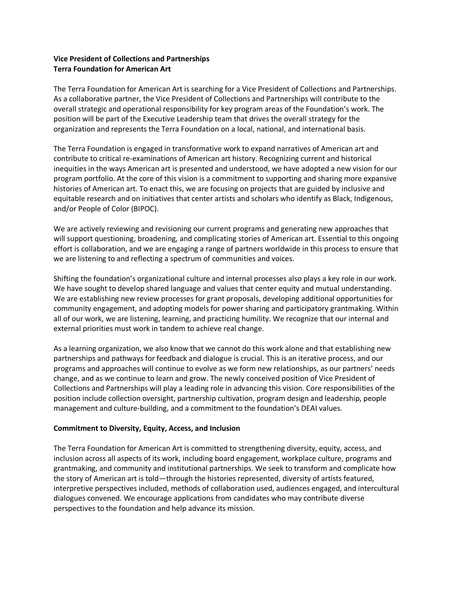# **Vice President of Collections and Partnerships Terra Foundation for American Art**

The Terra Foundation for American Art is searching for a Vice President of Collections and Partnerships. As a collaborative partner, the Vice President of Collections and Partnerships will contribute to the overall strategic and operational responsibility for key program areas of the Foundation's work. The position will be part of the Executive Leadership team that drives the overall strategy for the organization and represents the Terra Foundation on a local, national, and international basis.

The Terra Foundation is engaged in transformative work to expand narratives of American art and contribute to critical re-examinations of American art history. Recognizing current and historical inequities in the ways American art is presented and understood, we have adopted a new vision for our program portfolio. At the core of this vision is a commitment to supporting and sharing more expansive histories of American art. To enact this, we are focusing on projects that are guided by inclusive and equitable research and on initiatives that center artists and scholars who identify as Black, Indigenous, and/or People of Color (BIPOC).

We are actively reviewing and revisioning our current programs and generating new approaches that will support questioning, broadening, and complicating stories of American art. Essential to this ongoing effort is collaboration, and we are engaging a range of partners worldwide in this process to ensure that we are listening to and reflecting a spectrum of communities and voices.

Shifting the foundation's organizational culture and internal processes also plays a key role in our work. We have sought to develop shared language and values that center equity and mutual understanding. We are establishing new review processes for grant proposals, developing additional opportunities for community engagement, and adopting models for power sharing and participatory grantmaking. Within all of our work, we are listening, learning, and practicing humility. We recognize that our internal and external priorities must work in tandem to achieve real change.

As a learning organization, we also know that we cannot do this work alone and that establishing new partnerships and pathways for feedback and dialogue is crucial. This is an iterative process, and our programs and approaches will continue to evolve as we form new relationships, as our partners' needs change, and as we continue to learn and grow. The newly conceived position of Vice President of Collections and Partnerships will play a leading role in advancing this vision. Core responsibilities of the position include collection oversight, partnership cultivation, program design and leadership, people management and culture-building, and a commitment to the foundation's DEAI values.

# **Commitment to Diversity, Equity, Access, and Inclusion**

The Terra Foundation for American Art is committed to strengthening diversity, equity, access, and inclusion across all aspects of its work, including board engagement, workplace culture, programs and grantmaking, and community and institutional partnerships. We seek to transform and complicate how the story of American art is told—through the histories represented, diversity of artists featured, interpretive perspectives included, methods of collaboration used, audiences engaged, and intercultural dialogues convened. We encourage applications from candidates who may contribute diverse perspectives to the foundation and help advance its mission.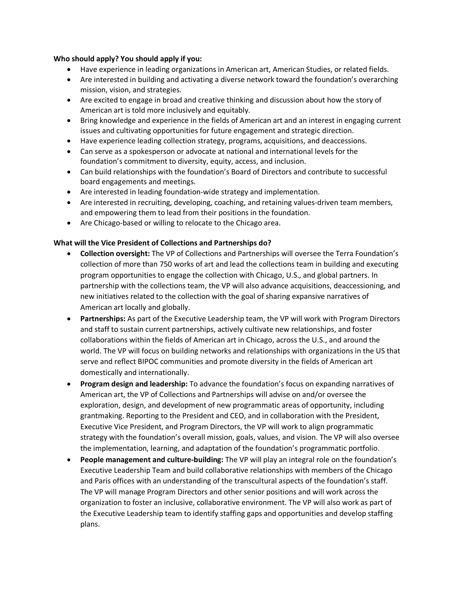#### **Who should apply? You should apply if you:**

- Have experience in leading organizations in American art, American Studies, or related fields.
- Are interested in building and activating a diverse network toward the foundation's overarching mission, vision, and strategies.
- Are excited to engage in broad and creative thinking and discussion about how the story of American art is told more inclusively and equitably.
- Bring knowledge and experience in the fields of American art and an interest in engaging current issues and cultivating opportunities for future engagement and strategic direction.
- Have experience leading collection strategy, programs, acquisitions, and deaccessions.
- Can serve as a spokesperson or advocate at national and international levels for the foundation's commitment to diversity, equity, access, and inclusion.
- Can build relationships with the foundation's Board of Directors and contribute to successful board engagements and meetings.
- Are interested in leading foundation-wide strategy and implementation.
- Are interested in recruiting, developing, coaching, and retaining values-driven team members, and empowering them to lead from their positions in the foundation.
- Are Chicago-based or willing to relocate to the Chicago area.

# **What will the Vice President of Collections and Partnerships do?**

- **Collection oversight:** The VP of Collections and Partnerships will oversee the Terra Foundation's collection of more than 750 works of art and lead the collections team in building and executing program opportunities to engage the collection with Chicago, U.S., and global partners. In partnership with the collections team, the VP will also advance acquisitions, deaccessioning, and new initiatives related to the collection with the goal of sharing expansive narratives of American art locally and globally.
- **Partnerships:** As part of the Executive Leadership team, the VP will work with Program Directors and staff to sustain current partnerships, actively cultivate new relationships, and foster collaborations within the fields of American art in Chicago, across the U.S., and around the world. The VP will focus on building networks and relationships with organizations in the US that serve and reflect BIPOC communities and promote diversity in the fields of American art domestically and internationally.
- **Program design and leadership:** To advance the foundation's focus on expanding narratives of American art, the VP of Collections and Partnerships will advise on and/or oversee the exploration, design, and development of new programmatic areas of opportunity, including grantmaking. Reporting to the President and CEO, and in collaboration with the President, Executive Vice President, and Program Directors, the VP will work to align programmatic strategy with the foundation's overall mission, goals, values, and vision. The VP will also oversee the implementation, learning, and adaptation of the foundation's programmatic portfolio.
- **People management and culture-building:** The VP will play an integral role on the foundation's Executive Leadership Team and build collaborative relationships with members of the Chicago and Paris offices with an understanding of the transcultural aspects of the foundation's staff. The VP will manage Program Directors and other senior positions and will work across the organization to foster an inclusive, collaborative environment. The VP will also work as part of the Executive Leadership team to identify staffing gaps and opportunities and develop staffing plans.